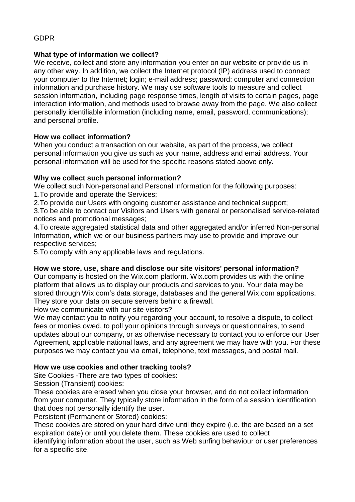# GDPR

# **What type of information we collect?**

We receive, collect and store any information you enter on our website or provide us in any other way. In addition, we collect the Internet protocol (IP) address used to connect your computer to the Internet; login; e-mail address; password; computer and connection information and purchase history. We may use software tools to measure and collect session information, including page response times, length of visits to certain pages, page interaction information, and methods used to browse away from the page. We also collect personally identifiable information (including name, email, password, communications); and personal profile.

# **How we collect information?**

When you conduct a transaction on our website, as part of the process, we collect personal information you give us such as your name, address and email address. Your personal information will be used for the specific reasons stated above only.

# **Why we collect such personal information?**

We collect such Non-personal and Personal Information for the following purposes: 1.To provide and operate the Services;

2.To provide our Users with ongoing customer assistance and technical support;

3.To be able to contact our Visitors and Users with general or personalised service-related notices and promotional messages;

4.To create aggregated statistical data and other aggregated and/or inferred Non-personal Information, which we or our business partners may use to provide and improve our respective services;

5.To comply with any applicable laws and regulations.

### **How we store, use, share and disclose our site visitors' personal information?**

Our company is hosted on the Wix.com platform. Wix.com provides us with the online platform that allows us to display our products and services to you. Your data may be stored through Wix.com's data storage, databases and the general Wix.com applications. They store your data on secure servers behind a firewall.

How we communicate with our site visitors?

We may contact you to notify you regarding your account, to resolve a dispute, to collect fees or monies owed, to poll your opinions through surveys or questionnaires, to send updates about our company, or as otherwise necessary to contact you to enforce our User Agreement, applicable national laws, and any agreement we may have with you. For these purposes we may contact you via email, telephone, text messages, and postal mail.

# **How we use cookies and other tracking tools?**

Site Cookies -There are two types of cookies:

Session (Transient) cookies:

These cookies are erased when you close your browser, and do not collect information from your computer. They typically store information in the form of a session identification that does not personally identify the user.

Persistent (Permanent or Stored) cookies:

These cookies are stored on your hard drive until they expire (i.e. the are based on a set expiration date) or until you delete them. These cookies are used to collect

identifying information about the user, such as Web surfing behaviour or user preferences for a specific site.